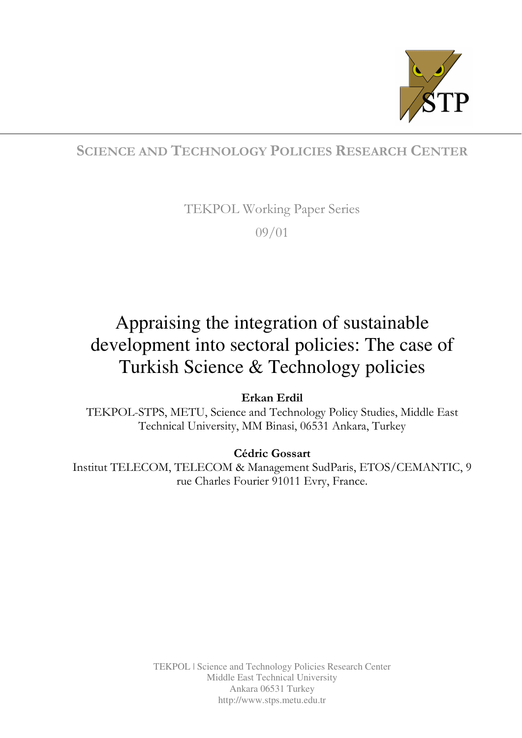

## SCIENCE AND TECHNOLOGY POLICIES RESEARCH CENTER

TEKPOL Working Paper Series

09/01

# Appraising the integration of sustainable development into sectoral policies: The case of Turkish Science & Technology policies

Erkan Erdil

TEKPOL-STPS, METU, Science and Technology Policy Studies, Middle East Technical University, MM Binasi, 06531 Ankara, Turkey

### Cédric Gossart

Institut TELECOM, TELECOM & Management SudParis, ETOS/CEMANTIC, 9 rue Charles Fourier 91011 Evry, France.

> TEKPOL | Science and Technology Policies Research Center Middle East Technical University Ankara 06531 Turkey http://www.stps.metu.edu.tr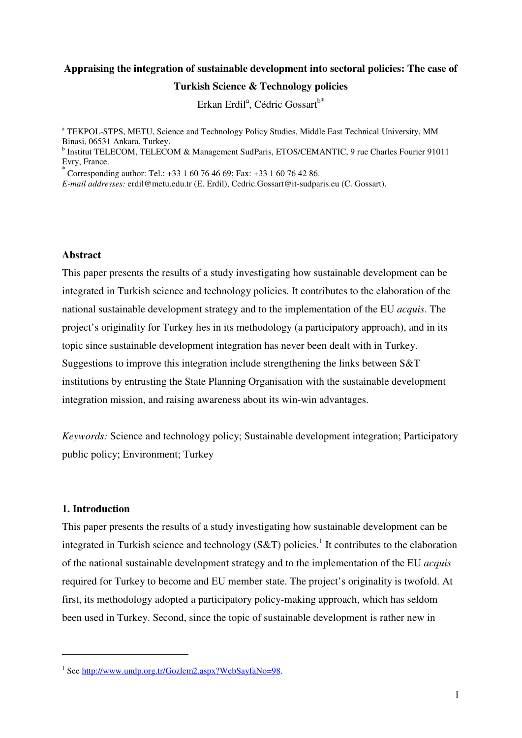## **Appraising the integration of sustainable development into sectoral policies: The case of Turkish Science & Technology policies**

Erkan Erdil<sup>a</sup>, Cédric Gossart<sup>b\*</sup>

<sup>a</sup> TEKPOL-STPS, METU, Science and Technology Policy Studies, Middle East Technical University, MM Binasi, 06531 Ankara, Turkey.

<sup>b</sup> Institut TELECOM, TELECOM & Management SudParis, ETOS/CEMANTIC, 9 rue Charles Fourier 91011 Evry, France.

 $\frac{1}{2}$  Corresponding author: Tel.: +33 1 60 76 46 69; Fax: +33 1 60 76 42 86.

*E-mail addresses:* erdil@metu.edu.tr (E. Erdil), Cedric.Gossart@it-sudparis.eu (C. Gossart).

#### **Abstract**

This paper presents the results of a study investigating how sustainable development can be integrated in Turkish science and technology policies. It contributes to the elaboration of the national sustainable development strategy and to the implementation of the EU *acquis*. The project's originality for Turkey lies in its methodology (a participatory approach), and in its topic since sustainable development integration has never been dealt with in Turkey. Suggestions to improve this integration include strengthening the links between S&T institutions by entrusting the State Planning Organisation with the sustainable development integration mission, and raising awareness about its win-win advantages.

*Keywords:* Science and technology policy; Sustainable development integration; Participatory public policy; Environment; Turkey

#### **1. Introduction**

 $\overline{a}$ 

This paper presents the results of a study investigating how sustainable development can be integrated in Turkish science and technology (S&T) policies.<sup>1</sup> It contributes to the elaboration of the national sustainable development strategy and to the implementation of the EU *acquis* required for Turkey to become and EU member state. The project's originality is twofold. At first, its methodology adopted a participatory policy-making approach, which has seldom been used in Turkey. Second, since the topic of sustainable development is rather new in

<sup>&</sup>lt;sup>1</sup> See http://www.undp.org.tr/Gozlem2.aspx?WebSayfaNo=98.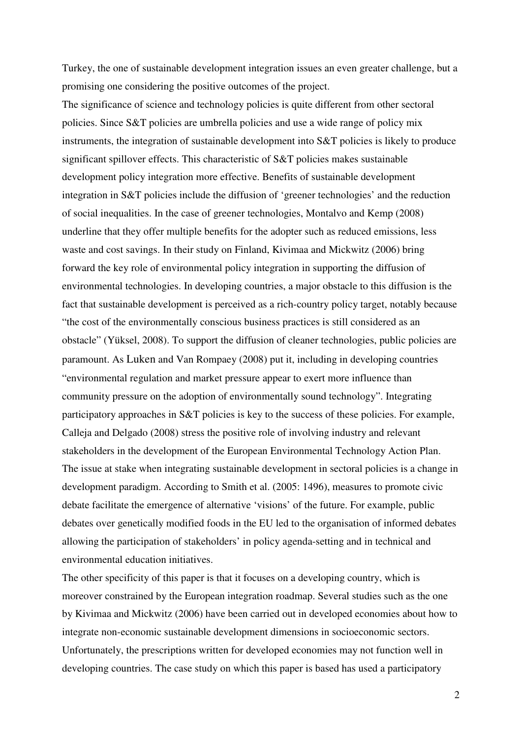Turkey, the one of sustainable development integration issues an even greater challenge, but a promising one considering the positive outcomes of the project.

The significance of science and technology policies is quite different from other sectoral policies. Since S&T policies are umbrella policies and use a wide range of policy mix instruments, the integration of sustainable development into S&T policies is likely to produce significant spillover effects. This characteristic of S&T policies makes sustainable development policy integration more effective. Benefits of sustainable development integration in S&T policies include the diffusion of 'greener technologies' and the reduction of social inequalities. In the case of greener technologies, Montalvo and Kemp (2008) underline that they offer multiple benefits for the adopter such as reduced emissions, less waste and cost savings. In their study on Finland, Kivimaa and Mickwitz (2006) bring forward the key role of environmental policy integration in supporting the diffusion of environmental technologies. In developing countries, a major obstacle to this diffusion is the fact that sustainable development is perceived as a rich-country policy target, notably because "the cost of the environmentally conscious business practices is still considered as an obstacle" (Yüksel, 2008). To support the diffusion of cleaner technologies, public policies are paramount. As Luken and Van Rompaey (2008) put it, including in developing countries "environmental regulation and market pressure appear to exert more influence than community pressure on the adoption of environmentally sound technology". Integrating participatory approaches in S&T policies is key to the success of these policies. For example, Calleja and Delgado (2008) stress the positive role of involving industry and relevant stakeholders in the development of the European Environmental Technology Action Plan. The issue at stake when integrating sustainable development in sectoral policies is a change in development paradigm. According to Smith et al. (2005: 1496), measures to promote civic debate facilitate the emergence of alternative 'visions' of the future. For example, public debates over genetically modified foods in the EU led to the organisation of informed debates allowing the participation of stakeholders' in policy agenda-setting and in technical and environmental education initiatives.

The other specificity of this paper is that it focuses on a developing country, which is moreover constrained by the European integration roadmap. Several studies such as the one by Kivimaa and Mickwitz (2006) have been carried out in developed economies about how to integrate non-economic sustainable development dimensions in socioeconomic sectors. Unfortunately, the prescriptions written for developed economies may not function well in developing countries. The case study on which this paper is based has used a participatory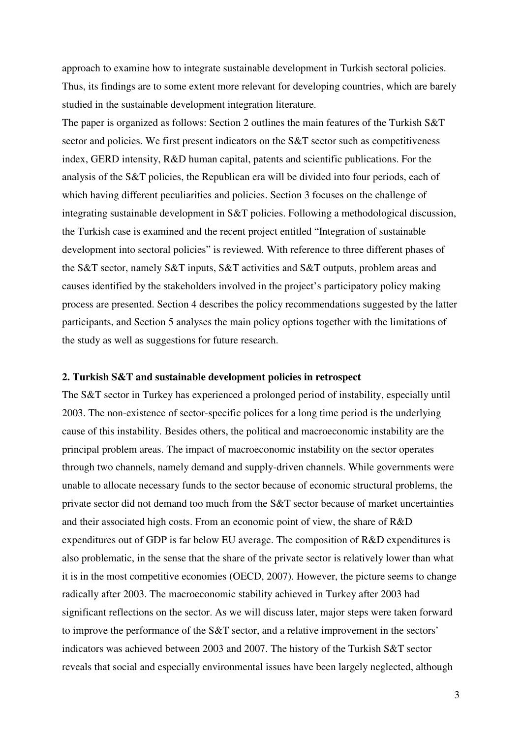approach to examine how to integrate sustainable development in Turkish sectoral policies. Thus, its findings are to some extent more relevant for developing countries, which are barely studied in the sustainable development integration literature.

The paper is organized as follows: Section 2 outlines the main features of the Turkish S&T sector and policies. We first present indicators on the S&T sector such as competitiveness index, GERD intensity, R&D human capital, patents and scientific publications. For the analysis of the S&T policies, the Republican era will be divided into four periods, each of which having different peculiarities and policies. Section 3 focuses on the challenge of integrating sustainable development in S&T policies. Following a methodological discussion, the Turkish case is examined and the recent project entitled "Integration of sustainable development into sectoral policies" is reviewed. With reference to three different phases of the S&T sector, namely S&T inputs, S&T activities and S&T outputs, problem areas and causes identified by the stakeholders involved in the project's participatory policy making process are presented. Section 4 describes the policy recommendations suggested by the latter participants, and Section 5 analyses the main policy options together with the limitations of the study as well as suggestions for future research.

#### **2. Turkish S&T and sustainable development policies in retrospect**

The S&T sector in Turkey has experienced a prolonged period of instability, especially until 2003. The non-existence of sector-specific polices for a long time period is the underlying cause of this instability. Besides others, the political and macroeconomic instability are the principal problem areas. The impact of macroeconomic instability on the sector operates through two channels, namely demand and supply-driven channels. While governments were unable to allocate necessary funds to the sector because of economic structural problems, the private sector did not demand too much from the S&T sector because of market uncertainties and their associated high costs. From an economic point of view, the share of R&D expenditures out of GDP is far below EU average. The composition of R&D expenditures is also problematic, in the sense that the share of the private sector is relatively lower than what it is in the most competitive economies (OECD, 2007). However, the picture seems to change radically after 2003. The macroeconomic stability achieved in Turkey after 2003 had significant reflections on the sector. As we will discuss later, major steps were taken forward to improve the performance of the S&T sector, and a relative improvement in the sectors' indicators was achieved between 2003 and 2007. The history of the Turkish S&T sector reveals that social and especially environmental issues have been largely neglected, although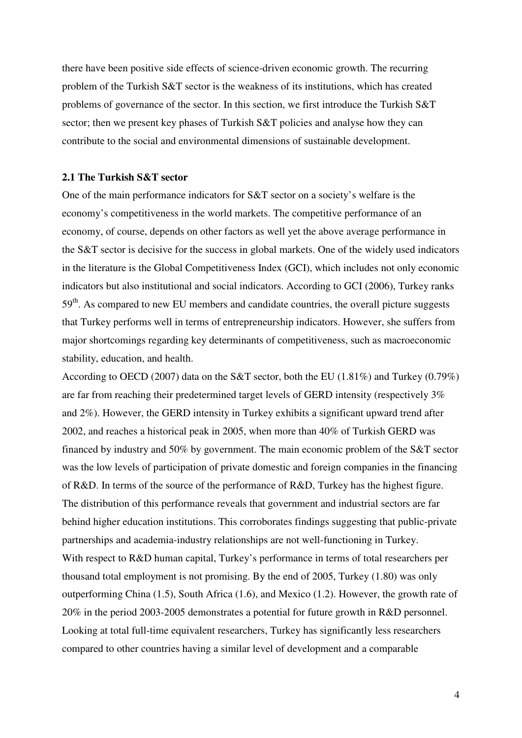there have been positive side effects of science-driven economic growth. The recurring problem of the Turkish S&T sector is the weakness of its institutions, which has created problems of governance of the sector. In this section, we first introduce the Turkish S&T sector; then we present key phases of Turkish S&T policies and analyse how they can contribute to the social and environmental dimensions of sustainable development.

#### **2.1 The Turkish S&T sector**

One of the main performance indicators for S&T sector on a society's welfare is the economy's competitiveness in the world markets. The competitive performance of an economy, of course, depends on other factors as well yet the above average performance in the S&T sector is decisive for the success in global markets. One of the widely used indicators in the literature is the Global Competitiveness Index (GCI), which includes not only economic indicators but also institutional and social indicators. According to GCI (2006), Turkey ranks 59<sup>th</sup>. As compared to new EU members and candidate countries, the overall picture suggests that Turkey performs well in terms of entrepreneurship indicators. However, she suffers from major shortcomings regarding key determinants of competitiveness, such as macroeconomic stability, education, and health.

According to OECD (2007) data on the S&T sector, both the EU (1.81%) and Turkey (0.79%) are far from reaching their predetermined target levels of GERD intensity (respectively 3% and 2%). However, the GERD intensity in Turkey exhibits a significant upward trend after 2002, and reaches a historical peak in 2005, when more than 40% of Turkish GERD was financed by industry and 50% by government. The main economic problem of the S&T sector was the low levels of participation of private domestic and foreign companies in the financing of R&D. In terms of the source of the performance of R&D, Turkey has the highest figure. The distribution of this performance reveals that government and industrial sectors are far behind higher education institutions. This corroborates findings suggesting that public-private partnerships and academia-industry relationships are not well-functioning in Turkey. With respect to R&D human capital, Turkey's performance in terms of total researchers per thousand total employment is not promising. By the end of 2005, Turkey (1.80) was only outperforming China (1.5), South Africa (1.6), and Mexico (1.2). However, the growth rate of 20% in the period 2003-2005 demonstrates a potential for future growth in R&D personnel. Looking at total full-time equivalent researchers, Turkey has significantly less researchers compared to other countries having a similar level of development and a comparable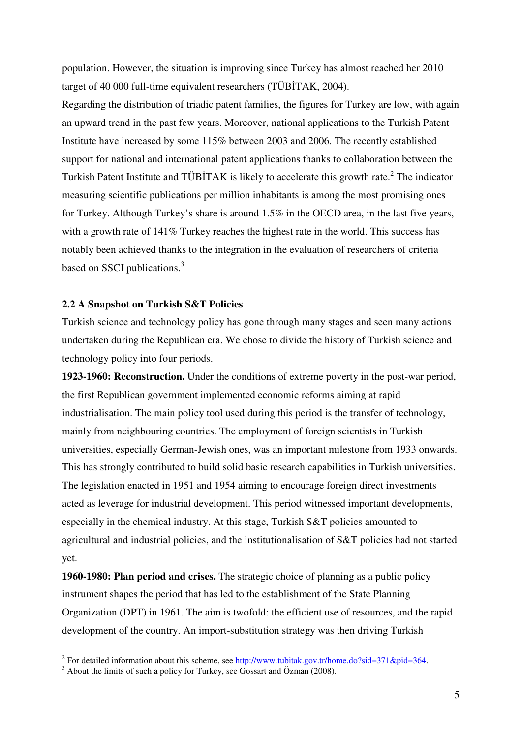population. However, the situation is improving since Turkey has almost reached her 2010 target of 40 000 full-time equivalent researchers (TÜBİTAK, 2004).

Regarding the distribution of triadic patent families, the figures for Turkey are low, with again an upward trend in the past few years. Moreover, national applications to the Turkish Patent Institute have increased by some 115% between 2003 and 2006. The recently established support for national and international patent applications thanks to collaboration between the Turkish Patent Institute and TÜBİTAK is likely to accelerate this growth rate.<sup>2</sup> The indicator measuring scientific publications per million inhabitants is among the most promising ones for Turkey. Although Turkey's share is around 1.5% in the OECD area, in the last five years, with a growth rate of  $141\%$  Turkey reaches the highest rate in the world. This success has notably been achieved thanks to the integration in the evaluation of researchers of criteria based on SSCI publications.<sup>3</sup>

#### **2.2 A Snapshot on Turkish S&T Policies**

Turkish science and technology policy has gone through many stages and seen many actions undertaken during the Republican era. We chose to divide the history of Turkish science and technology policy into four periods.

**1923-1960: Reconstruction.** Under the conditions of extreme poverty in the post-war period, the first Republican government implemented economic reforms aiming at rapid industrialisation. The main policy tool used during this period is the transfer of technology, mainly from neighbouring countries. The employment of foreign scientists in Turkish universities, especially German-Jewish ones, was an important milestone from 1933 onwards. This has strongly contributed to build solid basic research capabilities in Turkish universities. The legislation enacted in 1951 and 1954 aiming to encourage foreign direct investments acted as leverage for industrial development. This period witnessed important developments, especially in the chemical industry. At this stage, Turkish S&T policies amounted to agricultural and industrial policies, and the institutionalisation of S&T policies had not started yet.

**1960-1980: Plan period and crises.** The strategic choice of planning as a public policy instrument shapes the period that has led to the establishment of the State Planning Organization (DPT) in 1961. The aim is twofold: the efficient use of resources, and the rapid development of the country. An import-substitution strategy was then driving Turkish

 $\overline{a}$ 

<sup>&</sup>lt;sup>2</sup> For detailed information about this scheme, see  $\frac{http://www.tubitak.gov.tr/home.do?sid=371&pid=364.}$ 

<sup>&</sup>lt;sup>3</sup> About the limits of such a policy for Turkey, see Gossart and Özman (2008).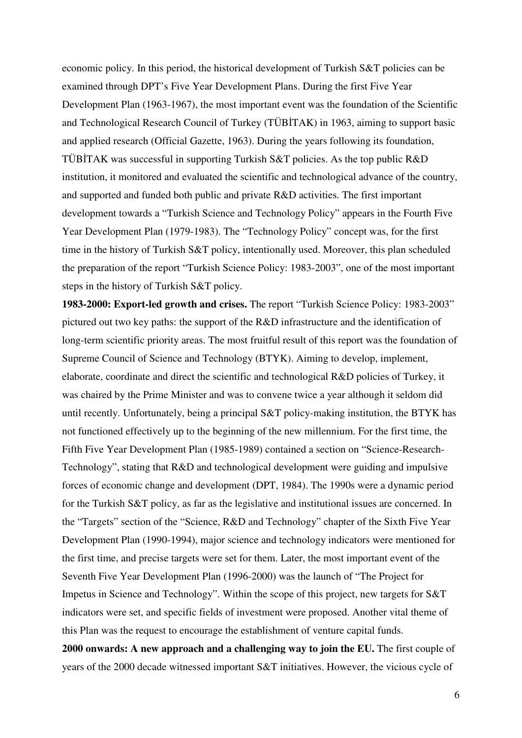economic policy. In this period, the historical development of Turkish S&T policies can be examined through DPT's Five Year Development Plans. During the first Five Year Development Plan (1963-1967), the most important event was the foundation of the Scientific and Technological Research Council of Turkey (TÜBİTAK) in 1963, aiming to support basic and applied research (Official Gazette, 1963). During the years following its foundation, TÜBİTAK was successful in supporting Turkish S&T policies. As the top public R&D institution, it monitored and evaluated the scientific and technological advance of the country, and supported and funded both public and private R&D activities. The first important development towards a "Turkish Science and Technology Policy" appears in the Fourth Five Year Development Plan (1979-1983). The "Technology Policy" concept was, for the first time in the history of Turkish S&T policy, intentionally used. Moreover, this plan scheduled the preparation of the report "Turkish Science Policy: 1983-2003", one of the most important steps in the history of Turkish S&T policy.

**1983-2000: Export-led growth and crises.** The report "Turkish Science Policy: 1983-2003" pictured out two key paths: the support of the R&D infrastructure and the identification of long-term scientific priority areas. The most fruitful result of this report was the foundation of Supreme Council of Science and Technology (BTYK). Aiming to develop, implement, elaborate, coordinate and direct the scientific and technological R&D policies of Turkey, it was chaired by the Prime Minister and was to convene twice a year although it seldom did until recently. Unfortunately, being a principal S&T policy-making institution, the BTYK has not functioned effectively up to the beginning of the new millennium. For the first time, the Fifth Five Year Development Plan (1985-1989) contained a section on "Science-Research-Technology", stating that R&D and technological development were guiding and impulsive forces of economic change and development (DPT, 1984). The 1990s were a dynamic period for the Turkish S&T policy, as far as the legislative and institutional issues are concerned. In the "Targets" section of the "Science, R&D and Technology" chapter of the Sixth Five Year Development Plan (1990-1994), major science and technology indicators were mentioned for the first time, and precise targets were set for them. Later, the most important event of the Seventh Five Year Development Plan (1996-2000) was the launch of "The Project for Impetus in Science and Technology". Within the scope of this project, new targets for S&T indicators were set, and specific fields of investment were proposed. Another vital theme of this Plan was the request to encourage the establishment of venture capital funds. **2000 onwards: A new approach and a challenging way to join the EU.** The first couple of years of the 2000 decade witnessed important S&T initiatives. However, the vicious cycle of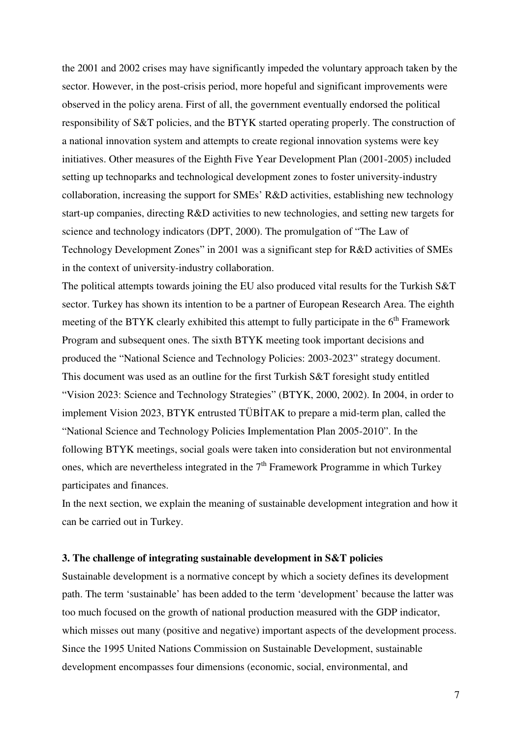the 2001 and 2002 crises may have significantly impeded the voluntary approach taken by the sector. However, in the post-crisis period, more hopeful and significant improvements were observed in the policy arena. First of all, the government eventually endorsed the political responsibility of S&T policies, and the BTYK started operating properly. The construction of a national innovation system and attempts to create regional innovation systems were key initiatives. Other measures of the Eighth Five Year Development Plan (2001-2005) included setting up technoparks and technological development zones to foster university-industry collaboration, increasing the support for SMEs' R&D activities, establishing new technology start-up companies, directing R&D activities to new technologies, and setting new targets for science and technology indicators (DPT, 2000). The promulgation of "The Law of Technology Development Zones" in 2001 was a significant step for R&D activities of SMEs in the context of university-industry collaboration.

The political attempts towards joining the EU also produced vital results for the Turkish S&T sector. Turkey has shown its intention to be a partner of European Research Area. The eighth meeting of the BTYK clearly exhibited this attempt to fully participate in the  $6<sup>th</sup>$  Framework Program and subsequent ones. The sixth BTYK meeting took important decisions and produced the "National Science and Technology Policies: 2003-2023" strategy document. This document was used as an outline for the first Turkish S&T foresight study entitled "Vision 2023: Science and Technology Strategies" (BTYK, 2000, 2002). In 2004, in order to implement Vision 2023, BTYK entrusted TÜBİTAK to prepare a mid-term plan, called the "National Science and Technology Policies Implementation Plan 2005-2010". In the following BTYK meetings, social goals were taken into consideration but not environmental ones, which are nevertheless integrated in the  $7<sup>th</sup>$  Framework Programme in which Turkey participates and finances.

In the next section, we explain the meaning of sustainable development integration and how it can be carried out in Turkey.

#### **3. The challenge of integrating sustainable development in S&T policies**

Sustainable development is a normative concept by which a society defines its development path. The term 'sustainable' has been added to the term 'development' because the latter was too much focused on the growth of national production measured with the GDP indicator, which misses out many (positive and negative) important aspects of the development process. Since the 1995 United Nations Commission on Sustainable Development, sustainable development encompasses four dimensions (economic, social, environmental, and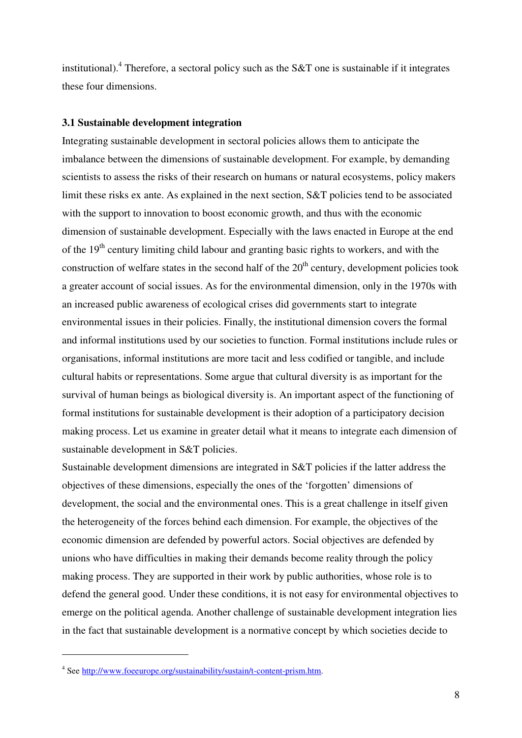institutional).<sup>4</sup> Therefore, a sectoral policy such as the S&T one is sustainable if it integrates these four dimensions.

#### **3.1 Sustainable development integration**

Integrating sustainable development in sectoral policies allows them to anticipate the imbalance between the dimensions of sustainable development. For example, by demanding scientists to assess the risks of their research on humans or natural ecosystems, policy makers limit these risks ex ante. As explained in the next section, S&T policies tend to be associated with the support to innovation to boost economic growth, and thus with the economic dimension of sustainable development. Especially with the laws enacted in Europe at the end of the  $19<sup>th</sup>$  century limiting child labour and granting basic rights to workers, and with the construction of welfare states in the second half of the  $20<sup>th</sup>$  century, development policies took a greater account of social issues. As for the environmental dimension, only in the 1970s with an increased public awareness of ecological crises did governments start to integrate environmental issues in their policies. Finally, the institutional dimension covers the formal and informal institutions used by our societies to function. Formal institutions include rules or organisations, informal institutions are more tacit and less codified or tangible, and include cultural habits or representations. Some argue that cultural diversity is as important for the survival of human beings as biological diversity is. An important aspect of the functioning of formal institutions for sustainable development is their adoption of a participatory decision making process. Let us examine in greater detail what it means to integrate each dimension of sustainable development in S&T policies.

Sustainable development dimensions are integrated in S&T policies if the latter address the objectives of these dimensions, especially the ones of the 'forgotten' dimensions of development, the social and the environmental ones. This is a great challenge in itself given the heterogeneity of the forces behind each dimension. For example, the objectives of the economic dimension are defended by powerful actors. Social objectives are defended by unions who have difficulties in making their demands become reality through the policy making process. They are supported in their work by public authorities, whose role is to defend the general good. Under these conditions, it is not easy for environmental objectives to emerge on the political agenda. Another challenge of sustainable development integration lies in the fact that sustainable development is a normative concept by which societies decide to

 $\overline{a}$ 

<sup>&</sup>lt;sup>4</sup> See http://www.foeeurope.org/sustainability/sustain/t-content-prism.htm.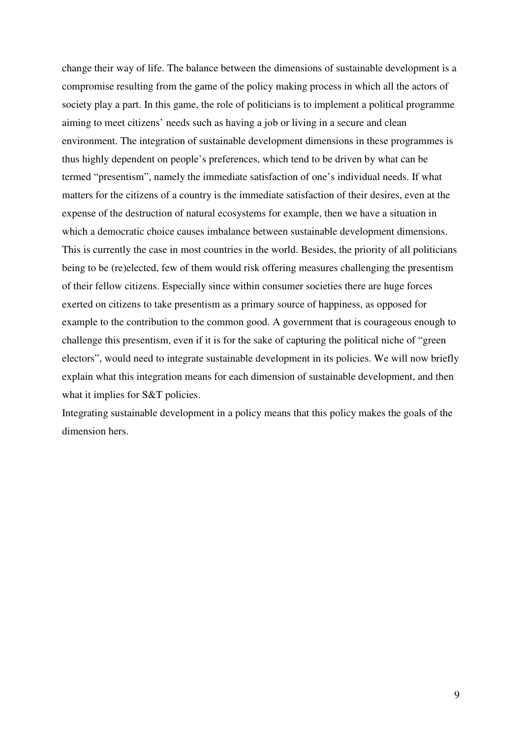change their way of life. The balance between the dimensions of sustainable development is a compromise resulting from the game of the policy making process in which all the actors of society play a part. In this game, the role of politicians is to implement a political programme aiming to meet citizens' needs such as having a job or living in a secure and clean environment. The integration of sustainable development dimensions in these programmes is thus highly dependent on people's preferences, which tend to be driven by what can be termed "presentism", namely the immediate satisfaction of one's individual needs. If what matters for the citizens of a country is the immediate satisfaction of their desires, even at the expense of the destruction of natural ecosystems for example, then we have a situation in which a democratic choice causes imbalance between sustainable development dimensions. This is currently the case in most countries in the world. Besides, the priority of all politicians being to be (re)elected, few of them would risk offering measures challenging the presentism of their fellow citizens. Especially since within consumer societies there are huge forces exerted on citizens to take presentism as a primary source of happiness, as opposed for example to the contribution to the common good. A government that is courageous enough to challenge this presentism, even if it is for the sake of capturing the political niche of "green electors", would need to integrate sustainable development in its policies. We will now briefly explain what this integration means for each dimension of sustainable development, and then what it implies for S&T policies.

Integrating sustainable development in a policy means that this policy makes the goals of the dimension hers.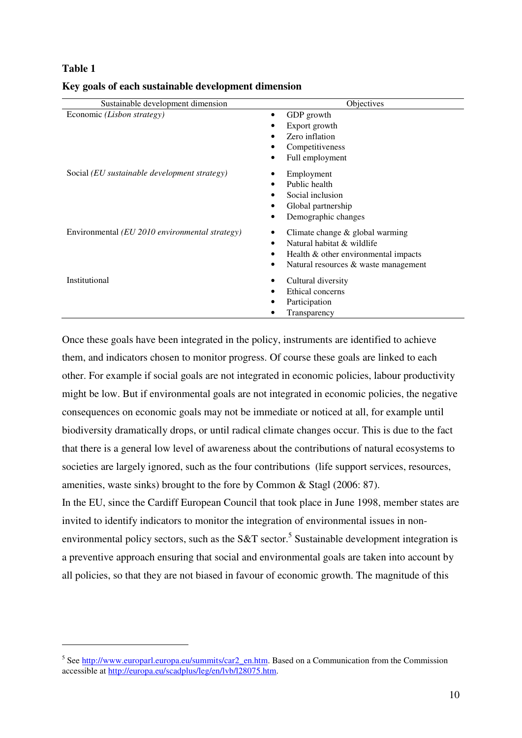#### **Table 1**

 $\overline{a}$ 

| Sustainable development dimension                       | Objectives                                                                                                                                      |
|---------------------------------------------------------|-------------------------------------------------------------------------------------------------------------------------------------------------|
| Economic (Lisbon strategy)                              | GDP growth<br>٠<br>Export growth                                                                                                                |
|                                                         | Zero inflation                                                                                                                                  |
|                                                         | Competitiveness<br>Full employment                                                                                                              |
| Social (EU sustainable development strategy)            | Employment<br>Public health<br>Social inclusion<br>Global partnership<br>Demographic changes                                                    |
| Environmental ( <i>EU 2010 environmental strategy</i> ) | Climate change $&$ global warming<br>Natural habitat & wildlife<br>Health & other environmental impacts<br>Natural resources & waste management |
| Institutional                                           | Cultural diversity<br>Ethical concerns<br>Participation<br>Transparency                                                                         |

#### **Key goals of each sustainable development dimension**

Once these goals have been integrated in the policy, instruments are identified to achieve them, and indicators chosen to monitor progress. Of course these goals are linked to each other. For example if social goals are not integrated in economic policies, labour productivity might be low. But if environmental goals are not integrated in economic policies, the negative consequences on economic goals may not be immediate or noticed at all, for example until biodiversity dramatically drops, or until radical climate changes occur. This is due to the fact that there is a general low level of awareness about the contributions of natural ecosystems to societies are largely ignored, such as the four contributions (life support services, resources, amenities, waste sinks) brought to the fore by Common & Stagl (2006: 87). In the EU, since the Cardiff European Council that took place in June 1998, member states are

invited to identify indicators to monitor the integration of environmental issues in nonenvironmental policy sectors, such as the S&T sector.<sup>5</sup> Sustainable development integration is a preventive approach ensuring that social and environmental goals are taken into account by all policies, so that they are not biased in favour of economic growth. The magnitude of this

<sup>&</sup>lt;sup>5</sup> See http://www.europarl.europa.eu/summits/car2\_en.htm. Based on a Communication from the Commission accessible at http://europa.eu/scadplus/leg/en/lvb/l28075.htm.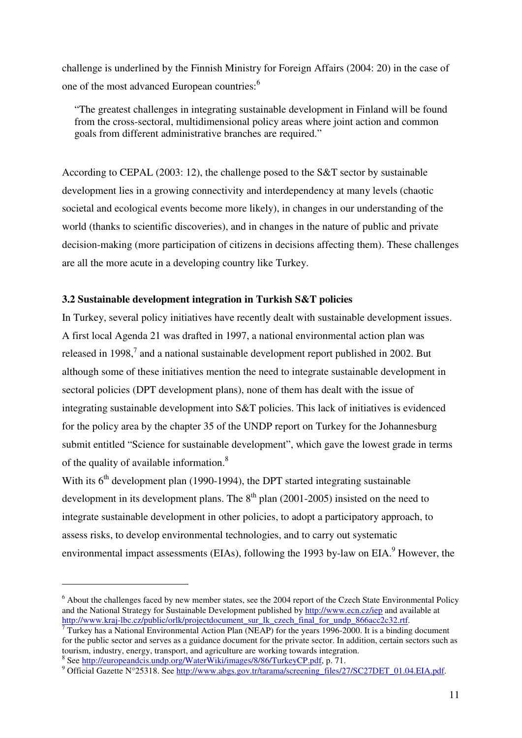challenge is underlined by the Finnish Ministry for Foreign Affairs (2004: 20) in the case of one of the most advanced European countries:<sup>6</sup>

"The greatest challenges in integrating sustainable development in Finland will be found from the cross-sectoral, multidimensional policy areas where joint action and common goals from different administrative branches are required."

According to CEPAL (2003: 12), the challenge posed to the S&T sector by sustainable development lies in a growing connectivity and interdependency at many levels (chaotic societal and ecological events become more likely), in changes in our understanding of the world (thanks to scientific discoveries), and in changes in the nature of public and private decision-making (more participation of citizens in decisions affecting them). These challenges are all the more acute in a developing country like Turkey.

#### **3.2 Sustainable development integration in Turkish S&T policies**

In Turkey, several policy initiatives have recently dealt with sustainable development issues. A first local Agenda 21 was drafted in 1997, a national environmental action plan was released in 1998,<sup>7</sup> and a national sustainable development report published in 2002. But although some of these initiatives mention the need to integrate sustainable development in sectoral policies (DPT development plans), none of them has dealt with the issue of integrating sustainable development into S&T policies. This lack of initiatives is evidenced for the policy area by the chapter 35 of the UNDP report on Turkey for the Johannesburg submit entitled "Science for sustainable development", which gave the lowest grade in terms of the quality of available information.<sup>8</sup>

With its  $6<sup>th</sup>$  development plan (1990-1994), the DPT started integrating sustainable development in its development plans. The  $8<sup>th</sup>$  plan (2001-2005) insisted on the need to integrate sustainable development in other policies, to adopt a participatory approach, to assess risks, to develop environmental technologies, and to carry out systematic environmental impact assessments (EIAs), following the 1993 by-law on EIA. $^{9}$  However, the

<sup>8</sup> See http://europeandcis.undp.org/WaterWiki/images/8/86/TurkeyCP.pdf, p. 71.

 $\overline{a}$ 

 $<sup>6</sup>$  About the challenges faced by new member states, see the 2004 report of the Czech State Environmental Policy</sup> and the National Strategy for Sustainable Development published by http://www.ecn.cz/iep and available at http://www.kraj-lbc.cz/public/orlk/projectdocument\_sur\_lk\_czech\_final\_for\_undp\_866acc2c32.rtf.

 $7$  Turkey has a National Environmental Action Plan (NEAP) for the years 1996-2000. It is a binding document for the public sector and serves as a guidance document for the private sector. In addition, certain sectors such as tourism, industry, energy, transport, and agriculture are working towards integration.

<sup>&</sup>lt;sup>9</sup> Official Gazette N°25318. See http://www.abgs.gov.tr/tarama/screening\_files/27/SC27DET\_01.04.EIA.pdf.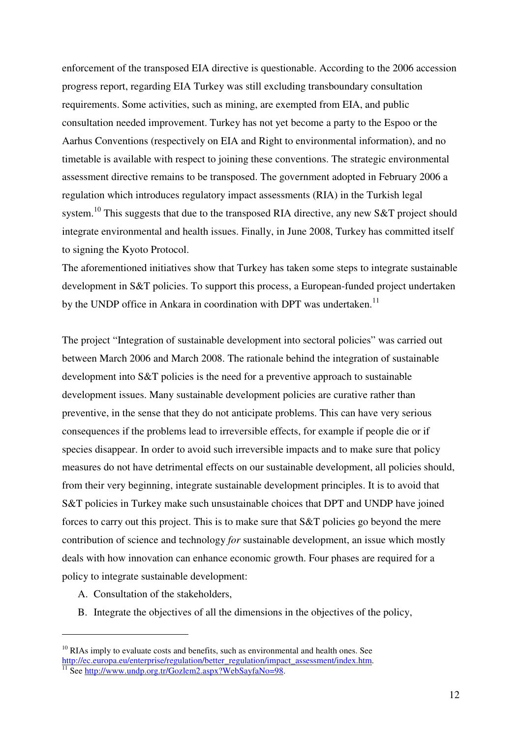enforcement of the transposed EIA directive is questionable. According to the 2006 accession progress report, regarding EIA Turkey was still excluding transboundary consultation requirements. Some activities, such as mining, are exempted from EIA, and public consultation needed improvement. Turkey has not yet become a party to the Espoo or the Aarhus Conventions (respectively on EIA and Right to environmental information), and no timetable is available with respect to joining these conventions. The strategic environmental assessment directive remains to be transposed. The government adopted in February 2006 a regulation which introduces regulatory impact assessments (RIA) in the Turkish legal system.<sup>10</sup> This suggests that due to the transposed RIA directive, any new S&T project should integrate environmental and health issues. Finally, in June 2008, Turkey has committed itself to signing the Kyoto Protocol.

The aforementioned initiatives show that Turkey has taken some steps to integrate sustainable development in S&T policies. To support this process, a European-funded project undertaken by the UNDP office in Ankara in coordination with DPT was undertaken.<sup>11</sup>

The project "Integration of sustainable development into sectoral policies" was carried out between March 2006 and March 2008. The rationale behind the integration of sustainable development into S&T policies is the need for a preventive approach to sustainable development issues. Many sustainable development policies are curative rather than preventive, in the sense that they do not anticipate problems. This can have very serious consequences if the problems lead to irreversible effects, for example if people die or if species disappear. In order to avoid such irreversible impacts and to make sure that policy measures do not have detrimental effects on our sustainable development, all policies should, from their very beginning, integrate sustainable development principles. It is to avoid that S&T policies in Turkey make such unsustainable choices that DPT and UNDP have joined forces to carry out this project. This is to make sure that S&T policies go beyond the mere contribution of science and technology *for* sustainable development, an issue which mostly deals with how innovation can enhance economic growth. Four phases are required for a policy to integrate sustainable development:

A. Consultation of the stakeholders,

 $\overline{a}$ 

B. Integrate the objectives of all the dimensions in the objectives of the policy,

 $10$  RIAs imply to evaluate costs and benefits, such as environmental and health ones. See http://ec.europa.eu/enterprise/regulation/better\_regulation/impact\_assessment/index.htm. <sup>11</sup> See http://www.undp.org.tr/Gozlem2.aspx?WebSayfaNo=98.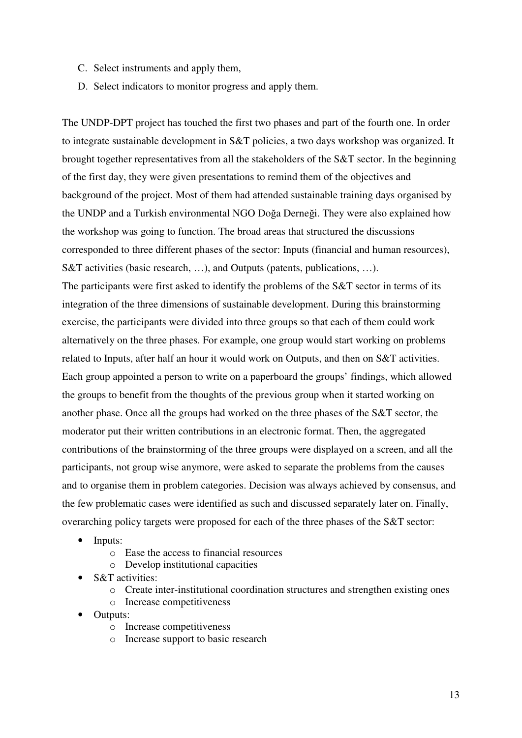- C. Select instruments and apply them,
- D. Select indicators to monitor progress and apply them.

The UNDP-DPT project has touched the first two phases and part of the fourth one. In order to integrate sustainable development in S&T policies, a two days workshop was organized. It brought together representatives from all the stakeholders of the S&T sector. In the beginning of the first day, they were given presentations to remind them of the objectives and background of the project. Most of them had attended sustainable training days organised by the UNDP and a Turkish environmental NGO Doğa Derneği. They were also explained how the workshop was going to function. The broad areas that structured the discussions corresponded to three different phases of the sector: Inputs (financial and human resources), S&T activities (basic research, …), and Outputs (patents, publications, …).

The participants were first asked to identify the problems of the S&T sector in terms of its integration of the three dimensions of sustainable development. During this brainstorming exercise, the participants were divided into three groups so that each of them could work alternatively on the three phases. For example, one group would start working on problems related to Inputs, after half an hour it would work on Outputs, and then on S&T activities. Each group appointed a person to write on a paperboard the groups' findings, which allowed the groups to benefit from the thoughts of the previous group when it started working on another phase. Once all the groups had worked on the three phases of the S&T sector, the moderator put their written contributions in an electronic format. Then, the aggregated contributions of the brainstorming of the three groups were displayed on a screen, and all the participants, not group wise anymore, were asked to separate the problems from the causes and to organise them in problem categories. Decision was always achieved by consensus, and the few problematic cases were identified as such and discussed separately later on. Finally, overarching policy targets were proposed for each of the three phases of the S&T sector:

- Inputs:
	- o Ease the access to financial resources
	- o Develop institutional capacities
- S&T activities:
	- o Create inter-institutional coordination structures and strengthen existing ones
	- o Increase competitiveness
- Outputs:
	- o Increase competitiveness
	- o Increase support to basic research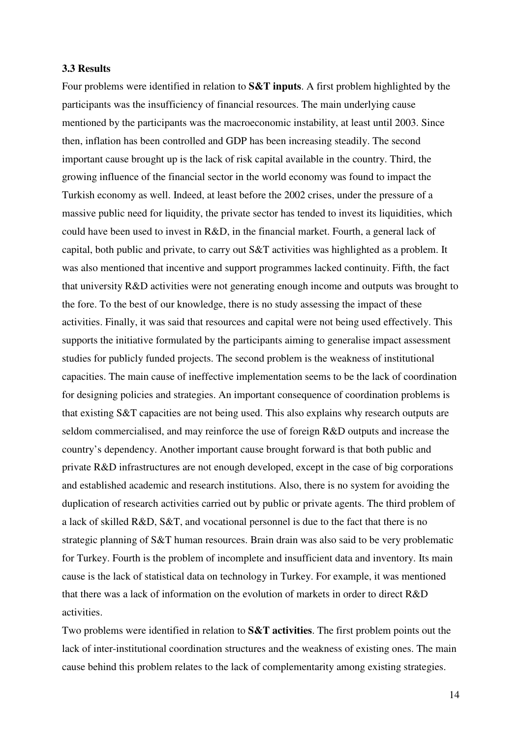#### **3.3 Results**

Four problems were identified in relation to **S&T inputs**. A first problem highlighted by the participants was the insufficiency of financial resources. The main underlying cause mentioned by the participants was the macroeconomic instability, at least until 2003. Since then, inflation has been controlled and GDP has been increasing steadily. The second important cause brought up is the lack of risk capital available in the country. Third, the growing influence of the financial sector in the world economy was found to impact the Turkish economy as well. Indeed, at least before the 2002 crises, under the pressure of a massive public need for liquidity, the private sector has tended to invest its liquidities, which could have been used to invest in R&D, in the financial market. Fourth, a general lack of capital, both public and private, to carry out S&T activities was highlighted as a problem. It was also mentioned that incentive and support programmes lacked continuity. Fifth, the fact that university R&D activities were not generating enough income and outputs was brought to the fore. To the best of our knowledge, there is no study assessing the impact of these activities. Finally, it was said that resources and capital were not being used effectively. This supports the initiative formulated by the participants aiming to generalise impact assessment studies for publicly funded projects. The second problem is the weakness of institutional capacities. The main cause of ineffective implementation seems to be the lack of coordination for designing policies and strategies. An important consequence of coordination problems is that existing S&T capacities are not being used. This also explains why research outputs are seldom commercialised, and may reinforce the use of foreign R&D outputs and increase the country's dependency. Another important cause brought forward is that both public and private R&D infrastructures are not enough developed, except in the case of big corporations and established academic and research institutions. Also, there is no system for avoiding the duplication of research activities carried out by public or private agents. The third problem of a lack of skilled R&D, S&T, and vocational personnel is due to the fact that there is no strategic planning of S&T human resources. Brain drain was also said to be very problematic for Turkey. Fourth is the problem of incomplete and insufficient data and inventory. Its main cause is the lack of statistical data on technology in Turkey. For example, it was mentioned that there was a lack of information on the evolution of markets in order to direct R&D activities.

Two problems were identified in relation to **S&T activities**. The first problem points out the lack of inter-institutional coordination structures and the weakness of existing ones. The main cause behind this problem relates to the lack of complementarity among existing strategies.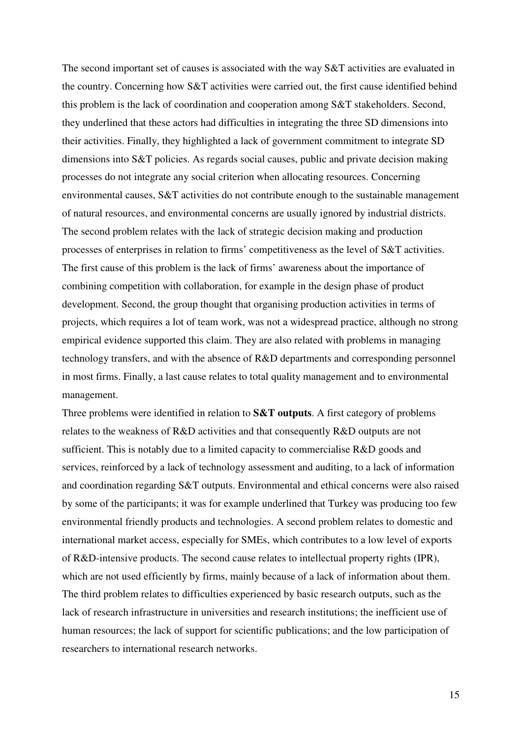The second important set of causes is associated with the way S&T activities are evaluated in the country. Concerning how S&T activities were carried out, the first cause identified behind this problem is the lack of coordination and cooperation among S&T stakeholders. Second, they underlined that these actors had difficulties in integrating the three SD dimensions into their activities. Finally, they highlighted a lack of government commitment to integrate SD dimensions into S&T policies. As regards social causes, public and private decision making processes do not integrate any social criterion when allocating resources. Concerning environmental causes, S&T activities do not contribute enough to the sustainable management of natural resources, and environmental concerns are usually ignored by industrial districts. The second problem relates with the lack of strategic decision making and production processes of enterprises in relation to firms' competitiveness as the level of S&T activities. The first cause of this problem is the lack of firms' awareness about the importance of combining competition with collaboration, for example in the design phase of product development. Second, the group thought that organising production activities in terms of projects, which requires a lot of team work, was not a widespread practice, although no strong empirical evidence supported this claim. They are also related with problems in managing technology transfers, and with the absence of R&D departments and corresponding personnel in most firms. Finally, a last cause relates to total quality management and to environmental management.

Three problems were identified in relation to **S&T outputs**. A first category of problems relates to the weakness of R&D activities and that consequently R&D outputs are not sufficient. This is notably due to a limited capacity to commercialise R&D goods and services, reinforced by a lack of technology assessment and auditing, to a lack of information and coordination regarding S&T outputs. Environmental and ethical concerns were also raised by some of the participants; it was for example underlined that Turkey was producing too few environmental friendly products and technologies. A second problem relates to domestic and international market access, especially for SMEs, which contributes to a low level of exports of R&D-intensive products. The second cause relates to intellectual property rights (IPR), which are not used efficiently by firms, mainly because of a lack of information about them. The third problem relates to difficulties experienced by basic research outputs, such as the lack of research infrastructure in universities and research institutions; the inefficient use of human resources; the lack of support for scientific publications; and the low participation of researchers to international research networks.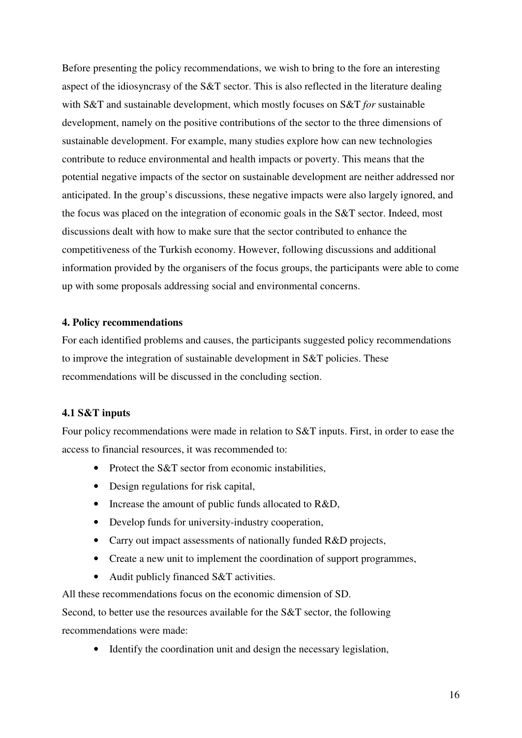Before presenting the policy recommendations, we wish to bring to the fore an interesting aspect of the idiosyncrasy of the S&T sector. This is also reflected in the literature dealing with S&T and sustainable development, which mostly focuses on S&T *for* sustainable development, namely on the positive contributions of the sector to the three dimensions of sustainable development. For example, many studies explore how can new technologies contribute to reduce environmental and health impacts or poverty. This means that the potential negative impacts of the sector on sustainable development are neither addressed nor anticipated. In the group's discussions, these negative impacts were also largely ignored, and the focus was placed on the integration of economic goals in the S&T sector. Indeed, most discussions dealt with how to make sure that the sector contributed to enhance the competitiveness of the Turkish economy. However, following discussions and additional information provided by the organisers of the focus groups, the participants were able to come up with some proposals addressing social and environmental concerns.

#### **4. Policy recommendations**

For each identified problems and causes, the participants suggested policy recommendations to improve the integration of sustainable development in S&T policies. These recommendations will be discussed in the concluding section.

#### **4.1 S&T inputs**

Four policy recommendations were made in relation to S&T inputs. First, in order to ease the access to financial resources, it was recommended to:

- Protect the S&T sector from economic instabilities.
- Design regulations for risk capital,
- Increase the amount of public funds allocated to R&D,
- Develop funds for university-industry cooperation,
- Carry out impact assessments of nationally funded R&D projects,
- Create a new unit to implement the coordination of support programmes,
- Audit publicly financed S&T activities.

All these recommendations focus on the economic dimension of SD.

Second, to better use the resources available for the S&T sector, the following recommendations were made:

• Identify the coordination unit and design the necessary legislation,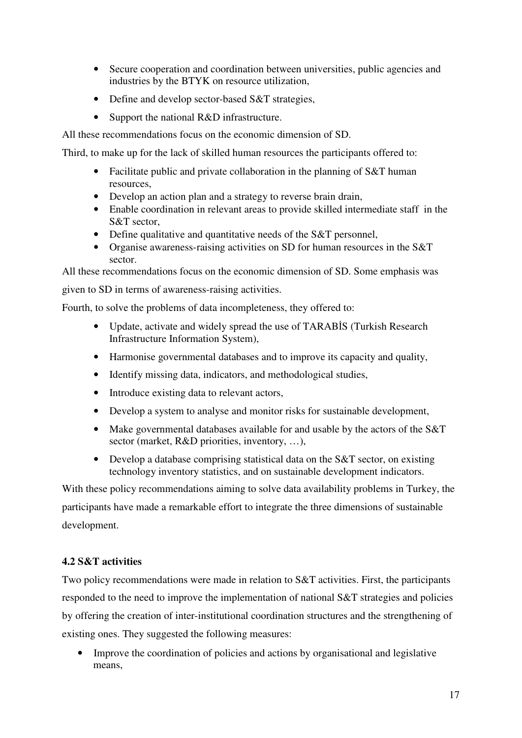- Secure cooperation and coordination between universities, public agencies and industries by the BTYK on resource utilization,
- Define and develop sector-based S&T strategies,
- Support the national R&D infrastructure.

All these recommendations focus on the economic dimension of SD.

Third, to make up for the lack of skilled human resources the participants offered to:

- Facilitate public and private collaboration in the planning of S&T human resources,
- Develop an action plan and a strategy to reverse brain drain,
- Enable coordination in relevant areas to provide skilled intermediate staff in the S&T sector,
- Define qualitative and quantitative needs of the S&T personnel,
- Organise awareness-raising activities on SD for human resources in the S&T sector.

All these recommendations focus on the economic dimension of SD. Some emphasis was

given to SD in terms of awareness-raising activities.

Fourth, to solve the problems of data incompleteness, they offered to:

- Update, activate and widely spread the use of TARABİS (Turkish Research Infrastructure Information System),
- Harmonise governmental databases and to improve its capacity and quality,
- Identify missing data, indicators, and methodological studies,
- Introduce existing data to relevant actors,
- Develop a system to analyse and monitor risks for sustainable development,
- Make governmental databases available for and usable by the actors of the S&T sector (market, R&D priorities, inventory, ...),
- Develop a database comprising statistical data on the S&T sector, on existing technology inventory statistics, and on sustainable development indicators.

With these policy recommendations aiming to solve data availability problems in Turkey, the participants have made a remarkable effort to integrate the three dimensions of sustainable development.

#### **4.2 S&T activities**

Two policy recommendations were made in relation to S&T activities. First, the participants responded to the need to improve the implementation of national S&T strategies and policies by offering the creation of inter-institutional coordination structures and the strengthening of existing ones. They suggested the following measures:

• Improve the coordination of policies and actions by organisational and legislative means,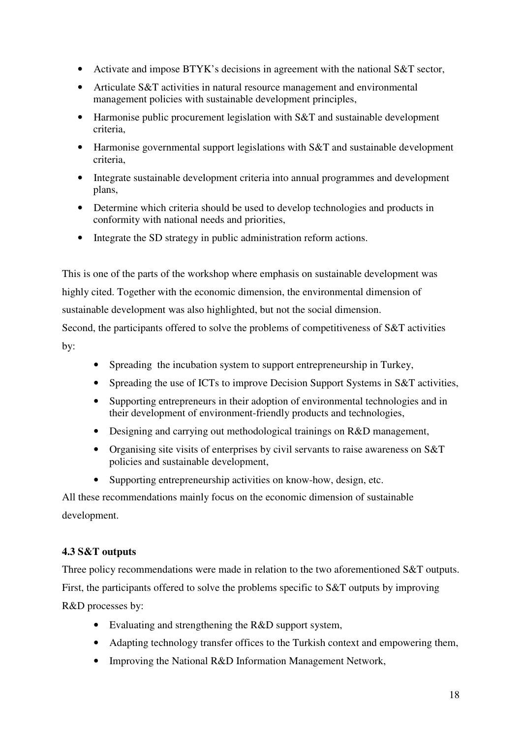- Activate and impose BTYK's decisions in agreement with the national S&T sector,
- Articulate S&T activities in natural resource management and environmental management policies with sustainable development principles,
- Harmonise public procurement legislation with S&T and sustainable development criteria,
- Harmonise governmental support legislations with S&T and sustainable development criteria,
- Integrate sustainable development criteria into annual programmes and development plans,
- Determine which criteria should be used to develop technologies and products in conformity with national needs and priorities,
- Integrate the SD strategy in public administration reform actions.

This is one of the parts of the workshop where emphasis on sustainable development was highly cited. Together with the economic dimension, the environmental dimension of sustainable development was also highlighted, but not the social dimension.

Second, the participants offered to solve the problems of competitiveness of S&T activities by:

- Spreading the incubation system to support entrepreneurship in Turkey,
- Spreading the use of ICTs to improve Decision Support Systems in S&T activities,
- Supporting entrepreneurs in their adoption of environmental technologies and in their development of environment-friendly products and technologies,
- Designing and carrying out methodological trainings on R&D management,
- Organising site visits of enterprises by civil servants to raise awareness on S&T policies and sustainable development,
- Supporting entrepreneurship activities on know-how, design, etc.

All these recommendations mainly focus on the economic dimension of sustainable development.

#### **4.3 S&T outputs**

Three policy recommendations were made in relation to the two aforementioned S&T outputs. First, the participants offered to solve the problems specific to S&T outputs by improving R&D processes by:

- Evaluating and strengthening the R&D support system,
- Adapting technology transfer offices to the Turkish context and empowering them,
- Improving the National R&D Information Management Network,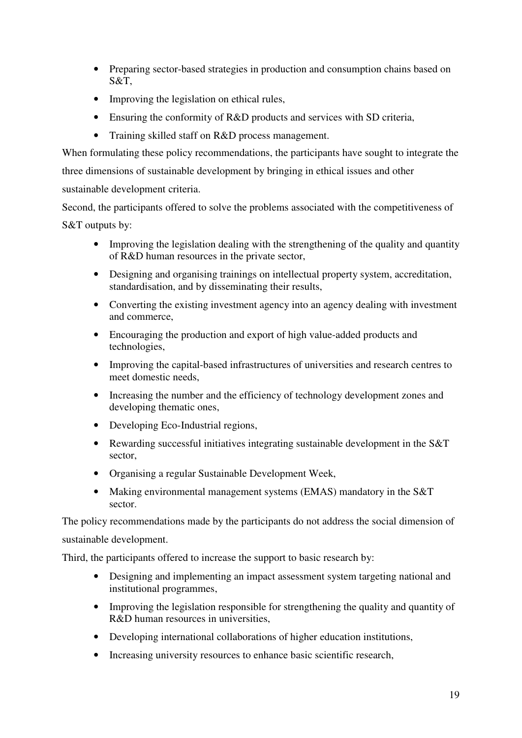- Preparing sector-based strategies in production and consumption chains based on S&T,
- Improving the legislation on ethical rules,
- Ensuring the conformity of R&D products and services with SD criteria,
- Training skilled staff on R&D process management.

When formulating these policy recommendations, the participants have sought to integrate the three dimensions of sustainable development by bringing in ethical issues and other

sustainable development criteria.

Second, the participants offered to solve the problems associated with the competitiveness of S&T outputs by:

- Improving the legislation dealing with the strengthening of the quality and quantity of R&D human resources in the private sector,
- Designing and organising trainings on intellectual property system, accreditation, standardisation, and by disseminating their results,
- Converting the existing investment agency into an agency dealing with investment and commerce,
- Encouraging the production and export of high value-added products and technologies,
- Improving the capital-based infrastructures of universities and research centres to meet domestic needs,
- Increasing the number and the efficiency of technology development zones and developing thematic ones,
- Developing Eco-Industrial regions,
- Rewarding successful initiatives integrating sustainable development in the S&T sector,
- Organising a regular Sustainable Development Week,
- Making environmental management systems (EMAS) mandatory in the S&T sector.

The policy recommendations made by the participants do not address the social dimension of sustainable development.

Third, the participants offered to increase the support to basic research by:

- Designing and implementing an impact assessment system targeting national and institutional programmes,
- Improving the legislation responsible for strengthening the quality and quantity of R&D human resources in universities,
- Developing international collaborations of higher education institutions,
- Increasing university resources to enhance basic scientific research,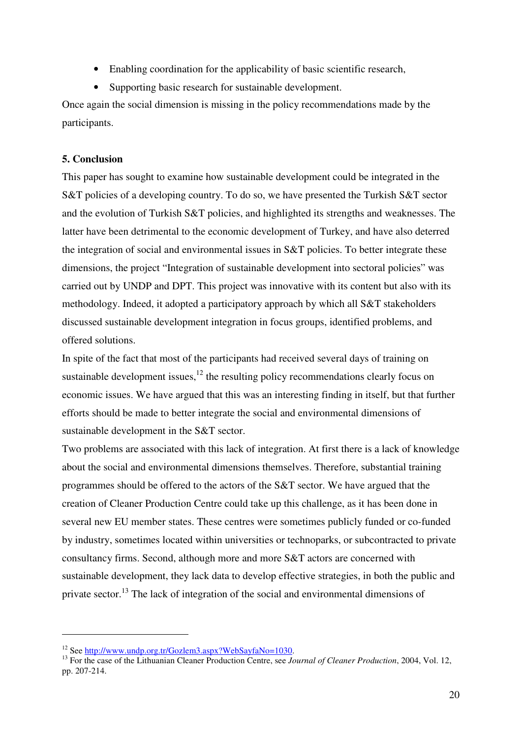- Enabling coordination for the applicability of basic scientific research,
- Supporting basic research for sustainable development.

Once again the social dimension is missing in the policy recommendations made by the participants.

#### **5. Conclusion**

This paper has sought to examine how sustainable development could be integrated in the S&T policies of a developing country. To do so, we have presented the Turkish S&T sector and the evolution of Turkish S&T policies, and highlighted its strengths and weaknesses. The latter have been detrimental to the economic development of Turkey, and have also deterred the integration of social and environmental issues in S&T policies. To better integrate these dimensions, the project "Integration of sustainable development into sectoral policies" was carried out by UNDP and DPT. This project was innovative with its content but also with its methodology. Indeed, it adopted a participatory approach by which all S&T stakeholders discussed sustainable development integration in focus groups, identified problems, and offered solutions.

In spite of the fact that most of the participants had received several days of training on sustainable development issues,  $12$  the resulting policy recommendations clearly focus on economic issues. We have argued that this was an interesting finding in itself, but that further efforts should be made to better integrate the social and environmental dimensions of sustainable development in the S&T sector.

Two problems are associated with this lack of integration. At first there is a lack of knowledge about the social and environmental dimensions themselves. Therefore, substantial training programmes should be offered to the actors of the S&T sector. We have argued that the creation of Cleaner Production Centre could take up this challenge, as it has been done in several new EU member states. These centres were sometimes publicly funded or co-funded by industry, sometimes located within universities or technoparks, or subcontracted to private consultancy firms. Second, although more and more S&T actors are concerned with sustainable development, they lack data to develop effective strategies, in both the public and private sector.<sup>13</sup> The lack of integration of the social and environmental dimensions of

 $\overline{a}$ 

<sup>12</sup> See http://www.undp.org.tr/Gozlem3.aspx?WebSayfaNo=1030.

<sup>&</sup>lt;sup>13</sup> For the case of the Lithuanian Cleaner Production Centre, see *Journal of Cleaner Production*, 2004, Vol. 12, pp. 207-214.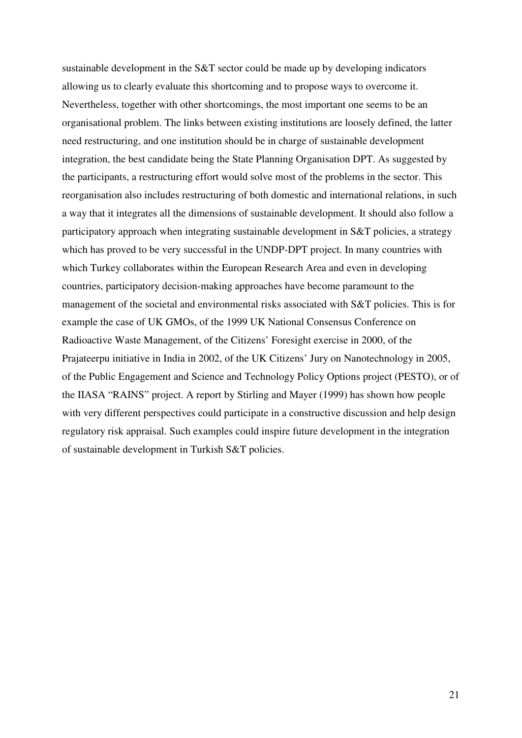sustainable development in the S&T sector could be made up by developing indicators allowing us to clearly evaluate this shortcoming and to propose ways to overcome it. Nevertheless, together with other shortcomings, the most important one seems to be an organisational problem. The links between existing institutions are loosely defined, the latter need restructuring, and one institution should be in charge of sustainable development integration, the best candidate being the State Planning Organisation DPT. As suggested by the participants, a restructuring effort would solve most of the problems in the sector. This reorganisation also includes restructuring of both domestic and international relations, in such a way that it integrates all the dimensions of sustainable development. It should also follow a participatory approach when integrating sustainable development in S&T policies, a strategy which has proved to be very successful in the UNDP-DPT project. In many countries with which Turkey collaborates within the European Research Area and even in developing countries, participatory decision-making approaches have become paramount to the management of the societal and environmental risks associated with S&T policies. This is for example the case of UK GMOs, of the 1999 UK National Consensus Conference on Radioactive Waste Management, of the Citizens' Foresight exercise in 2000, of the Prajateerpu initiative in India in 2002, of the UK Citizens' Jury on Nanotechnology in 2005, of the Public Engagement and Science and Technology Policy Options project (PESTO), or of the IIASA "RAINS" project. A report by Stirling and Mayer (1999) has shown how people with very different perspectives could participate in a constructive discussion and help design regulatory risk appraisal. Such examples could inspire future development in the integration of sustainable development in Turkish S&T policies.